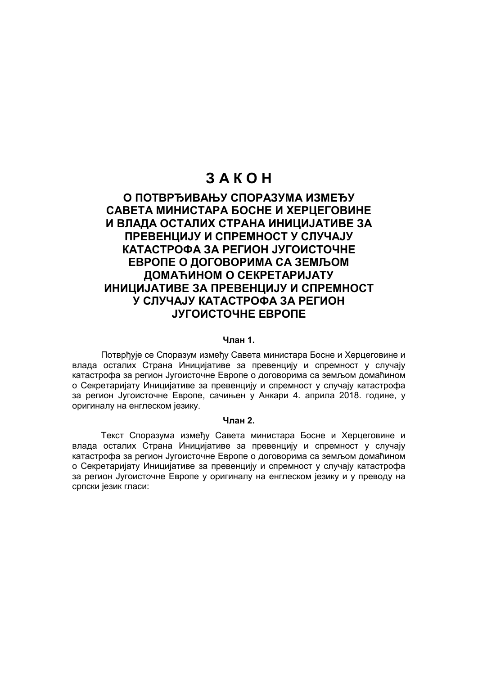# **З А К О Н**

# **О ПОТВРЂИВАЊУ СПОРАЗУМА ИЗМЕЂУ САВЕТА МИНИСТАРА БОСНЕ И ХЕРЦЕГОВИНЕ И ВЛАДА ОСТАЛИХ СТРАНА ИНИЦИЈАТИВЕ ЗА ПРЕВЕНЦИЈУ И СПРЕМНОСТ У СЛУЧАЈУ КАТАСТРОФА ЗА РЕГИОН ЈУГОИСТОЧНЕ ЕВРОПЕ O ДОГОВОРИМА СА ЗЕМЉОМ ДОМАЋИНОМ О СЕКРЕТАРИЈАТУ ИНИЦИЈАТИВЕ ЗА ПРЕВЕНЦИЈУ И СПРЕМНОСТ У СЛУЧАЈУ КАТАСТРОФА ЗА РЕГИОН ЈУГОИСТОЧНЕ ЕВРОПЕ**

### **Члан 1.**

Потврђује се Споразум између Савета министара Босне и Херцеговине и влада осталих Страна Иницијативе за превенцију и спремност у случају катастрофа за регион Југоисточне Европе о договорима са земљом домаћином о Секретаријату Иницијативе за превенцију и спремност у случају катастрофа за регион Југоисточне Европе, сачињен у Анкари 4. априла 2018. године, у оригиналу на енглеском језику.

### **Члан 2.**

Текст Споразума између Савета министара Босне и Херцеговине и влада осталих Страна Иницијативе за превенцију и спремност у случају катастрофа за регион Југоисточне Европе о договорима са земљом домаћином о Секретаријату Иницијативе за превенцију и спремност у случају катастрофа за регион Југоисточне Европе у оригиналу на енглеском језику и у преводу на српски језик гласи: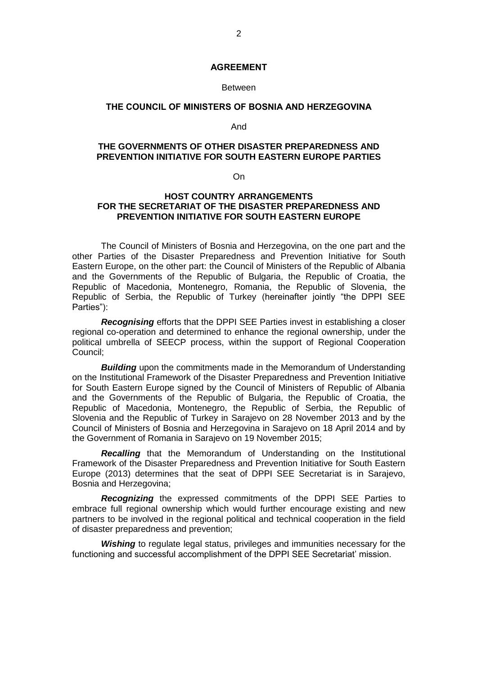### **AGREEMENT**

#### **Between**

### **THE COUNCIL OF MINISTERS OF BOSNIA AND HERZEGOVINA**

And

### **THE GOVERNMENTS OF OTHER DISASTER PREPAREDNESS AND PREVENTION INITIATIVE FOR SOUTH EASTERN EUROPE PARTIES**

On

### **HOST COUNTRY ARRANGEMENTS FOR THE SECRETARIAT OF THE DISASTER PREPAREDNESS AND PREVENTION INITIATIVE FOR SOUTH EASTERN EUROPE**

The Council of Ministers of Bosnia and Herzegovina, on the one part and the other Parties of the Disaster Preparedness and Prevention Initiative for South Eastern Europe, on the other part: the Council of Ministers of the Republic of Albania and the Governments of the Republic of Bulgaria, the Republic of Croatia, the Republic of Macedonia, Montenegro, Romania, the Republic of Slovenia, the Republic of Serbia, the Republic of Turkey (hereinafter jointly "the DPPI SEE Parties"):

*Recognising* efforts that the DPPI SEE Parties invest in establishing a closer regional co-operation and determined to enhance the regional ownership, under the political umbrella of SEECP process, within the support of Regional Cooperation Council;

*Building* upon the commitments made in the Memorandum of Understanding on the Institutional Framework of the Disaster Preparedness and Prevention Initiative for South Eastern Europe signed by the Council of Ministers of Republic of Albania and the Governments of the Republic of Bulgaria, the Republic of Croatia, the Republic of Macedonia, Montenegro, the Republic of Serbia, the Republic of Slovenia and the Republic of Turkey in Sarajevo on 28 November 2013 and by the Council of Ministers of Bosnia and Herzegovina in Sarajevo on 18 April 2014 and by the Government of Romania in Sarajevo on 19 November 2015;

*Recalling* that the Memorandum of Understanding on the Institutional Framework of the Disaster Preparedness and Prevention Initiative for South Eastern Europe (2013) determines that the seat of DPPI SEE Secretariat is in Sarajevo, Bosnia and Herzegovina;

*Recognizing* the expressed commitments of the DPPI SEE Parties to embrace full regional ownership which would further encourage existing and new partners to be involved in the regional political and technical cooperation in the field of disaster preparedness and prevention;

*Wishing* to regulate legal status, privileges and immunities necessary for the functioning and successful accomplishment of the DPPI SEE Secretariat' mission.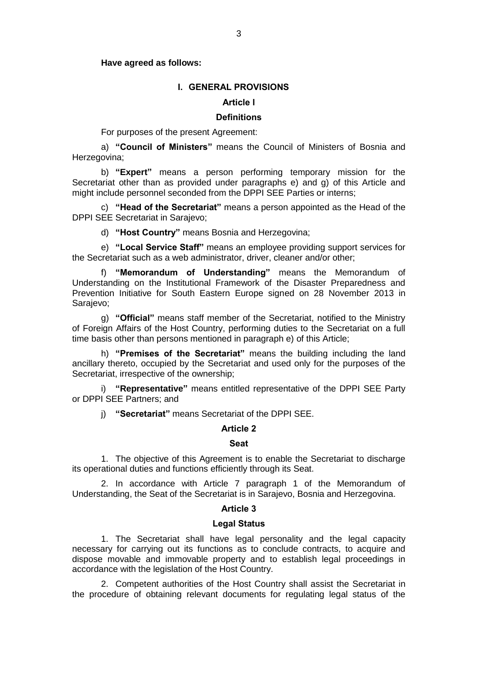### **Have agreed as follows:**

# **I. GENERAL PROVISIONS**

# **Article l**

### **Definitions**

For purposes of the present Agreement:

a) **"Council of Ministers"** means the Council of Ministers of Bosnia and Herzegovina;

b) **"Expert"** means a person performing temporary mission for the Secretariat other than as provided under paragraphs e) and g) of this Article and might include personnel seconded from the DPPI SEE Parties or interns;

c) **"Head of the Secretariat"** means a person appointed as the Head of the DPPI SEE Secretariat in Sarajevo;

d) **"Host Country"** means Bosnia and Herzegovina;

e) **"Local Service Staff"** means an employee providing support services for the Secretariat such as a web administrator, driver, cleaner and/or other;

f) **"Memorandum of Understanding"** means the Memorandum of Understanding on the Institutional Framework of the Disaster Preparedness and Prevention Initiative for South Eastern Europe signed on 28 November 2013 in Sarajevo;

g) **"Official"** means staff member of the Secretariat, notified to the Ministry of Foreign Affairs of the Host Country, performing duties to the Secretariat on a full time basis other than persons mentioned in paragraph e) of this Article;

h) **"Premises of the Secretariat"** means the building including the land ancillary thereto, occupied by the Secretariat and used only for the purposes of the Secretariat, irrespective of the ownership;

i) **"Representative"** means entitled representative of the DPPI SEE Party or DPPI SEE Partners; and

j) **"Secretariat"** means Secretariat of the DPPI SEE.

### **Article 2**

#### **Seat**

1. The objective of this Agreement is to enable the Secretariat to discharge its operational duties and functions efficiently through its Seat.

2. In accordance with Article 7 paragraph 1 of the Memorandum of Understanding, the Seat of the Secretariat is in Sarajevo, Bosnia and Herzegovina.

### **Article 3**

### **Legal Status**

1. The Secretariat shall have legal personality and the legal capacity necessary for carrying out its functions as to conclude contracts, to acquire and dispose movable and immovable property and to establish legal proceedings in accordance with the legislation of the Host Country.

2. Competent authorities of the Host Country shall assist the Secretariat in the procedure of obtaining relevant documents for regulating legal status of the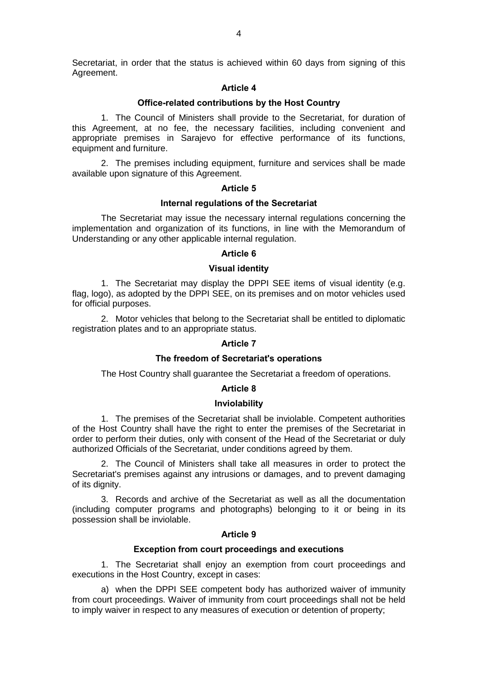Secretariat, in order that the status is achieved within 60 days from signing of this Agreement.

### **Article 4**

### **Office-related contributions by the Host Country**

1. The Council of Ministers shall provide to the Secretariat, for duration of this Agreement, at no fee, the necessary facilities, including convenient and appropriate premises in Sarajevo for effective performance of its functions, equipment and furniture.

2. The premises including equipment, furniture and services shall be made available upon signature of this Agreement.

### **Article 5**

### **Internal regulations of the Secretariat**

The Secretariat may issue the necessary internal regulations concerning the implementation and organization of its functions, in line with the Memorandum of Understanding or any other applicable internal regulation.

# **Article 6**

# **Visual identity**

1. The Secretariat may display the DPPI SEE items of visual identity (e.g. flag, logo), as adopted by the DPPI SEE, on its premises and on motor vehicles used for official purposes.

2. Motor vehicles that belong to the Secretariat shall be entitled to diplomatic registration plates and to an appropriate status.

### **Article 7**

### **The freedom of Secretariat's operations**

The Host Country shall guarantee the Secretariat a freedom of operations.

### **Article 8**

### **Inviolability**

1. The premises of the Secretariat shall be inviolable. Competent authorities of the Host Country shall have the right to enter the premises of the Secretariat in order to perform their duties, only with consent of the Head of the Secretariat or duly authorized Officials of the Secretariat, under conditions agreed by them.

2. The Council of Ministers shall take all measures in order to protect the Secretariat's premises against any intrusions or damages, and to prevent damaging of its dignity.

3. Records and archive of the Secretariat as well as all the documentation (including computer programs and photographs) belonging to it or being in its possession shall be inviolable.

### **Article 9**

### **Exception from court proceedings and executions**

1. The Secretariat shall enjoy an exemption from court proceedings and executions in the Host Country, except in cases:

a) when the DPPI SEE competent body has authorized waiver of immunity from court proceedings. Waiver of immunity from court proceedings shall not be held to imply waiver in respect to any measures of execution or detention of property;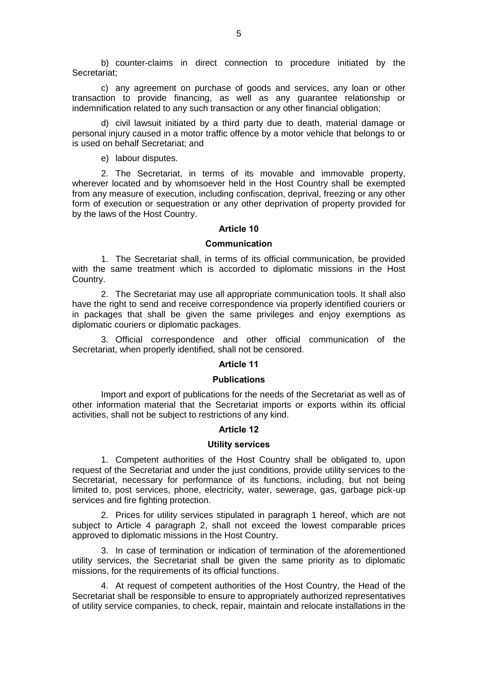b) counter-claims in direct connection to procedure initiated by the Secretariat;

c) any agreement on purchase of goods and services, any loan or other transaction to provide financing, as well as any guarantee relationship or indemnification related to any such transaction or any other financial obligation;

d) civil lawsuit initiated by a third party due to death, material damage or personal injury caused in a motor traffic offence by a motor vehicle that belongs to or is used on behalf Secretariat; and

e) labour disputes.

2. The Secretariat, in terms of its movable and immovable property, wherever located and by whomsoever held in the Host Country shall be exempted from any measure of execution, including confiscation, deprival, freezing or any other form of execution or sequestration or any other deprivation of property provided for by the laws of the Host Country.

### **Article 10**

### **Communication**

1. The Secretariat shall, in terms of its official communication, be provided with the same treatment which is accorded to diplomatic missions in the Host Country.

2. The Secretariat may use all appropriate communication tools. It shall also have the right to send and receive correspondence via properly identified couriers or in packages that shall be given the same privileges and enjoy exemptions as diplomatic couriers or diplomatic packages.

3. Official correspondence and other official communication of the Secretariat, when properly identified, shall not be censored.

### **Article 11**

### **Publications**

Import and export of publications for the needs of the Secretariat as well as of other information material that the Secretariat imports or exports within its official activities, shall not be subject to restrictions of any kind.

### **Article 12**

# **Utility services**

1. Competent authorities of the Host Country shall be obligated to, upon request of the Secretariat and under the just conditions, provide utility services to the Secretariat, necessary for performance of its functions, including, but not being limited to, post services, phone, electricity, water, sewerage, gas, garbage pick-up services and fire fighting protection.

2. Prices for utility services stipulated in paragraph 1 hereof, which are not subject to Article 4 paragraph 2, shall not exceed the lowest comparable prices approved to diplomatic missions in the Host Country.

3. In case of termination or indication of termination of the aforementioned utility services, the Secretariat shall be given the same priority as to diplomatic missions, for the requirements of its official functions.

4. At request of competent authorities of the Host Country, the Head of the Secretariat shall be responsible to ensure to appropriately authorized representatives of utility service companies, to check, repair, maintain and relocate installations in the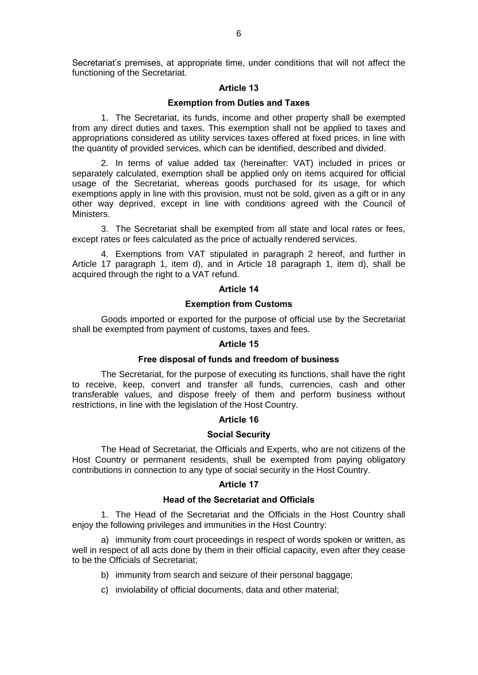Secretariat's premises, at appropriate time, under conditions that will not affect the functioning of the Secretariat.

### **Article 13**

### **Exemption from Duties and Taxes**

1. The Secretariat, its funds, income and other property shall be exempted from any direct duties and taxes. This exemption shall not be applied to taxes and appropriations considered as utility services taxes offered at fixed prices, in line with the quantity of provided services, which can be identified, described and divided.

2. In terms of value added tax (hereinafter: VAT) included in prices or separately calculated, exemption shall be applied only on items acquired for official usage of the Secretariat, whereas goods purchased for its usage, for which exemptions apply in line with this provision, must not be sold, given as a gift or in any other way deprived, except in line with conditions agreed with the Council of Ministers.

3. The Secretariat shall be exempted from all state and local rates or fees, except rates or fees calculated as the price of actually rendered services.

4. Exemptions from VAT stipulated in paragraph 2 hereof, and further in Article 17 paragraph 1, item d), and in Article 18 paragraph 1, item d), shall be acquired through the right to a VAT refund.

### **Article 14**

### **Exemption from Customs**

Goods imported or exported for the purpose of official use by the Secretariat shall be exempted from payment of customs, taxes and fees.

### **Article 15**

### **Free disposal of funds and freedom of business**

The Secretariat, for the purpose of executing its functions, shall have the right to receive, keep, convert and transfer all funds, currencies, cash and other transferable values, and dispose freely of them and perform business without restrictions, in line with the legislation of the Host Country.

### **Article 16**

### **Social Security**

The Head of Secretariat, the Officials and Experts, who are not citizens of the Host Country or permanent residents, shall be exempted from paying obligatory contributions in connection to any type of social security in the Host Country.

### **Article 17**

### **Head of the Secretariat and Officials**

1. The Head of the Secretariat and the Officials in the Host Country shall enjoy the following privileges and immunities in the Host Country:

a) immunity from court proceedings in respect of words spoken or written, as well in respect of all acts done by them in their official capacity, even after they cease to be the Officials of Secretariat;

- b) immunity from search and seizure of their personal baggage;
- c) inviolability of official documents, data and other material;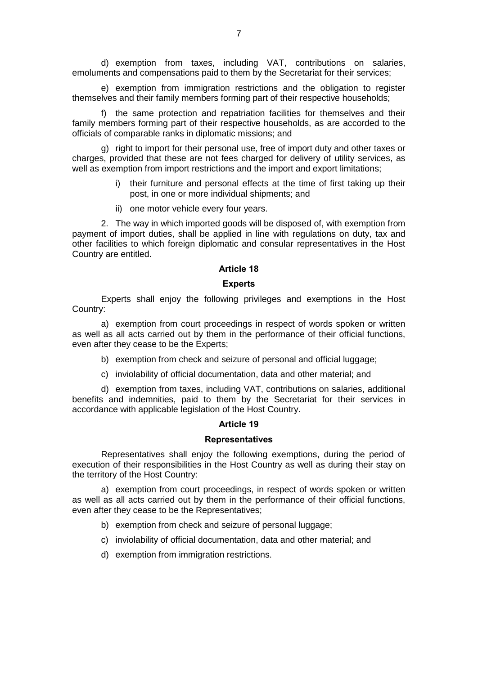d) exemption from taxes, including VAT, contributions on salaries, emoluments and compensations paid to them by the Secretariat for their services;

e) exemption from immigration restrictions and the obligation to register themselves and their family members forming part of their respective households;

f) the same protection and repatriation facilities for themselves and their family members forming part of their respective households, as are accorded to the officials of comparable ranks in diplomatic missions; and

g) right to import for their personal use, free of import duty and other taxes or charges, provided that these are not fees charged for delivery of utility services, as well as exemption from import restrictions and the import and export limitations;

- i) their furniture and personal effects at the time of first taking up their post, in one or more individual shipments; and
- ii) one motor vehicle every four years.

2. The way in which imported goods will be disposed of, with exemption from payment of import duties, shall be applied in line with regulations on duty, tax and other facilities to which foreign diplomatic and consular representatives in the Host Country are entitled.

# **Article 18**

### **Experts**

Experts shall enjoy the following privileges and exemptions in the Host Country:

a) exemption from court proceedings in respect of words spoken or written as well as all acts carried out by them in the performance of their official functions, even after they cease to be the Experts;

- b) exemption from check and seizure of personal and official luggage;
- c) inviolability of official documentation, data and other material; and

d) exemption from taxes, including VAT, contributions on salaries, additional benefits and indemnities, paid to them by the Secretariat for their services in accordance with applicable legislation of the Host Country.

### **Article 19**

### **Representatives**

Representatives shall enjoy the following exemptions, during the period of execution of their responsibilities in the Host Country as well as during their stay on the territory of the Host Country:

a) exemption from court proceedings, in respect of words spoken or written as well as all acts carried out by them in the performance of their official functions, even after they cease to be the Representatives;

- b) exemption from check and seizure of personal luggage;
- c) inviolability of official documentation, data and other material; and
- d) exemption from immigration restrictions.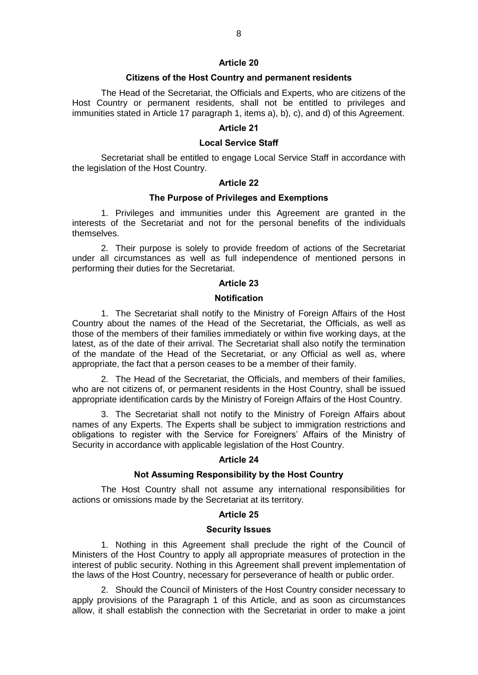### **Article 20**

#### **Citizens of the Host Country and permanent residents**

The Head of the Secretariat, the Officials and Experts, who are citizens of the Host Country or permanent residents, shall not be entitled to privileges and immunities stated in Article 17 paragraph 1, items a), b), c), and d) of this Agreement.

# **Article 21**

### **Local Service Staff**

Secretariat shall be entitled to engage Local Service Staff in accordance with the legislation of the Host Country.

# **Article 22**

### **The Purpose of Privileges and Exemptions**

1. Privileges and immunities under this Agreement are granted in the interests of the Secretariat and not for the personal benefits of the individuals themselves.

2. Their purpose is solely to provide freedom of actions of the Secretariat under all circumstances as well as full independence of mentioned persons in performing their duties for the Secretariat.

### **Article 23**

### **Notification**

1. The Secretariat shall notify to the Ministry of Foreign Affairs of the Host Country about the names of the Head of the Secretariat, the Officials, as well as those of the members of their families immediately or within five working days, at the latest, as of the date of their arrival. The Secretariat shall also notify the termination of the mandate of the Head of the Secretariat, or any Official as well as, where appropriate, the fact that a person ceases to be a member of their family.

2. The Head of the Secretariat, the Officials, and members of their families, who are not citizens of, or permanent residents in the Host Country, shall be issued appropriate identification cards by the Ministry of Foreign Affairs of the Host Country.

3. The Secretariat shall not notify to the Ministry of Foreign Affairs about names of any Experts. The Experts shall be subject to immigration restrictions and obligations to register with the Service for Foreigners' Affairs of the Ministry of Security in accordance with applicable legislation of the Host Country.

### **Article 24**

#### **Not Assuming Responsibility by the Host Country**

The Host Country shall not assume any international responsibilities for actions or omissions made by the Secretariat at its territory.

### **Article 25**

#### **Security Issues**

1. Nothing in this Agreement shall preclude the right of the Council of Ministers of the Host Country to apply all appropriate measures of protection in the interest of public security. Nothing in this Agreement shall prevent implementation of the laws of the Host Country, necessary for perseverance of health or public order.

2. Should the Council of Ministers of the Host Country consider necessary to apply provisions of the Paragraph 1 of this Article, and as soon as circumstances allow, it shall establish the connection with the Secretariat in order to make a joint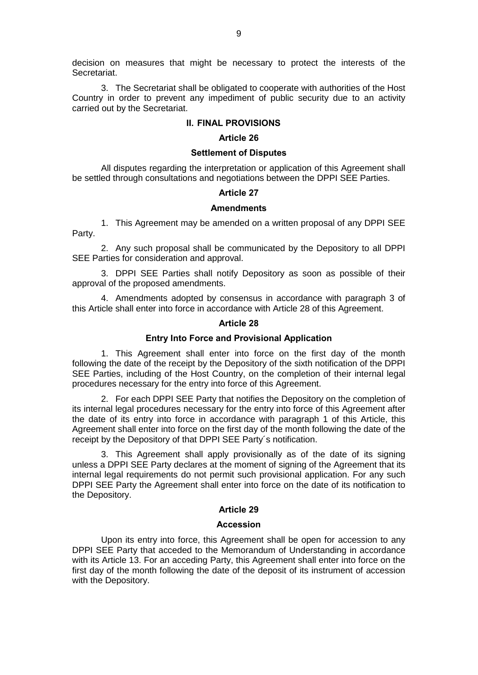decision on measures that might be necessary to protect the interests of the Secretariat.

3. The Secretariat shall be obligated to cooperate with authorities of the Host Country in order to prevent any impediment of public security due to an activity carried out by the Secretariat.

### **II. FINAL PROVISIONS**

#### **Article 26**

### **Settlement of Disputes**

All disputes regarding the interpretation or application of this Agreement shall be settled through consultations and negotiations between the DPPI SEE Parties.

### **Article 27**

### **Amendments**

1. This Agreement may be amended on a written proposal of any DPPI SEE Party.

2. Any such proposal shall be communicated by the Depository to all DPPI SEE Parties for consideration and approval.

3. DPPI SEE Parties shall notify Depository as soon as possible of their approval of the proposed amendments.

4. Amendments adopted by consensus in accordance with paragraph 3 of this Article shall enter into force in accordance with Article 28 of this Agreement.

### **Article 28**

#### **Entry Into Force and Provisional Application**

1. This Agreement shall enter into force on the first day of the month following the date of the receipt by the Depository of the sixth notification of the DPPI SEE Parties, including of the Host Country, on the completion of their internal legal procedures necessary for the entry into force of this Agreement.

2. For each DPPI SEE Party that notifies the Depository on the completion of its internal legal procedures necessary for the entry into force of this Agreement after the date of its entry into force in accordance with paragraph 1 of this Article, this Agreement shall enter into force on the first day of the month following the date of the receipt by the Depository of that DPPI SEE Party´s notification.

3. This Agreement shall apply provisionally as of the date of its signing unless a DPPI SEE Party declares at the moment of signing of the Agreement that its internal legal requirements do not permit such provisional application. For any such DPPI SEE Party the Agreement shall enter into force on the date of its notification to the Depository.

### **Article 29**

### **Accession**

Upon its entry into force, this Agreement shall be open for accession to any DPPI SEE Party that acceded to the Memorandum of Understanding in accordance with its Article 13. For an acceding Party, this Agreement shall enter into force on the first day of the month following the date of the deposit of its instrument of accession with the Depository.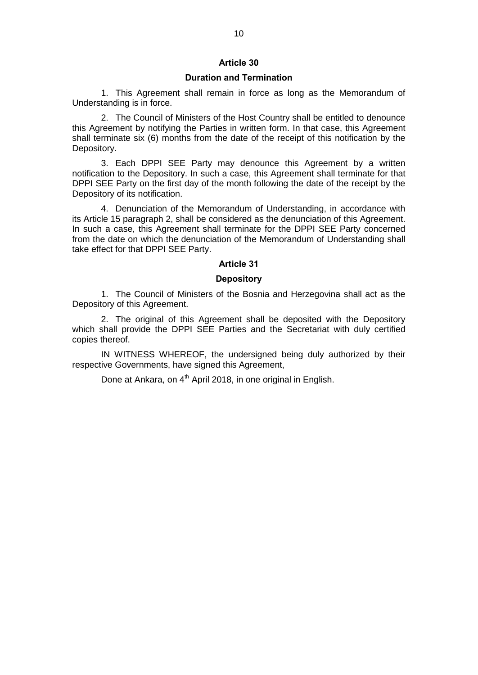# **Article 30**

# **Duration and Termination**

1. This Agreement shall remain in force as long as the Memorandum of Understanding is in force.

2. The Council of Ministers of the Host Country shall be entitled to denounce this Agreement by notifying the Parties in written form. In that case, this Agreement shall terminate six (6) months from the date of the receipt of this notification by the Depository.

3. Each DPPI SEE Party may denounce this Agreement by a written notification to the Depository. In such a case, this Agreement shall terminate for that DPPI SEE Party on the first day of the month following the date of the receipt by the Depository of its notification.

4. Denunciation of the Memorandum of Understanding, in accordance with its Article 15 paragraph 2, shall be considered as the denunciation of this Agreement. In such a case, this Agreement shall terminate for the DPPI SEE Party concerned from the date on which the denunciation of the Memorandum of Understanding shall take effect for that DPPI SEE Party.

### **Article 31**

### **Depository**

1. The Council of Ministers of the Bosnia and Herzegovina shall act as the Depository of this Agreement.

2. The original of this Agreement shall be deposited with the Depository which shall provide the DPPI SEE Parties and the Secretariat with duly certified copies thereof.

IN WITNESS WHEREOF, the undersigned being duly authorized by their respective Governments, have signed this Agreement,

Done at Ankara, on  $4<sup>th</sup>$  April 2018, in one original in English.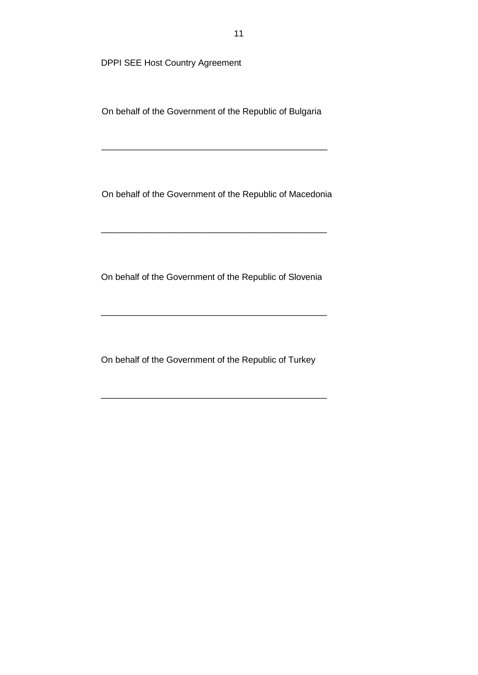On behalf of the Government of the Republic of Bulgaria

\_\_\_\_\_\_\_\_\_\_\_\_\_\_\_\_\_\_\_\_\_\_\_\_\_\_\_\_\_\_\_\_\_\_\_\_\_\_\_\_\_\_\_\_\_\_

On behalf of the Government of the Republic of Macedonia

\_\_\_\_\_\_\_\_\_\_\_\_\_\_\_\_\_\_\_\_\_\_\_\_\_\_\_\_\_\_\_\_\_\_\_\_\_\_\_\_\_\_\_\_\_\_

On behalf of the Government of the Republic of Slovenia

\_\_\_\_\_\_\_\_\_\_\_\_\_\_\_\_\_\_\_\_\_\_\_\_\_\_\_\_\_\_\_\_\_\_\_\_\_\_\_\_\_\_\_\_\_\_

On behalf of the Government of the Republic of Turkey

\_\_\_\_\_\_\_\_\_\_\_\_\_\_\_\_\_\_\_\_\_\_\_\_\_\_\_\_\_\_\_\_\_\_\_\_\_\_\_\_\_\_\_\_\_\_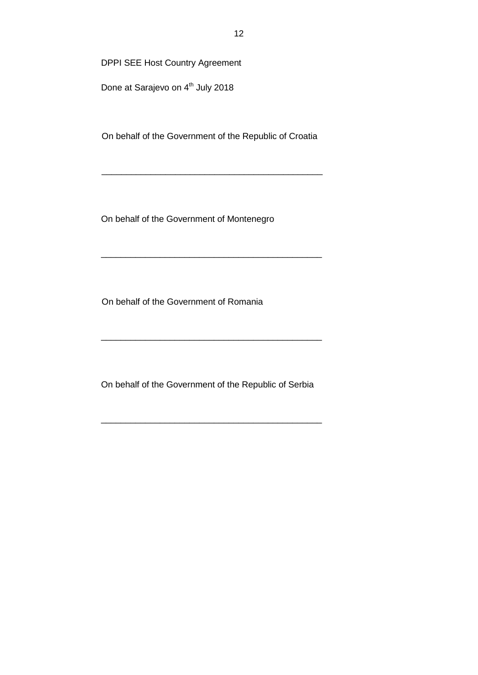Done at Sarajevo on 4<sup>th</sup> July 2018

On behalf of the Government of the Republic of Croatia

\_\_\_\_\_\_\_\_\_\_\_\_\_\_\_\_\_\_\_\_\_\_\_\_\_\_\_\_\_\_\_\_\_\_\_\_\_\_\_\_\_\_\_\_\_

\_\_\_\_\_\_\_\_\_\_\_\_\_\_\_\_\_\_\_\_\_\_\_\_\_\_\_\_\_\_\_\_\_\_\_\_\_\_\_\_\_\_\_\_\_

On behalf of the Government of Montenegro

On behalf of the Government of Romania

On behalf of the Government of the Republic of Serbia

\_\_\_\_\_\_\_\_\_\_\_\_\_\_\_\_\_\_\_\_\_\_\_\_\_\_\_\_\_\_\_\_\_\_\_\_\_\_\_\_\_\_\_\_\_

\_\_\_\_\_\_\_\_\_\_\_\_\_\_\_\_\_\_\_\_\_\_\_\_\_\_\_\_\_\_\_\_\_\_\_\_\_\_\_\_\_\_\_\_\_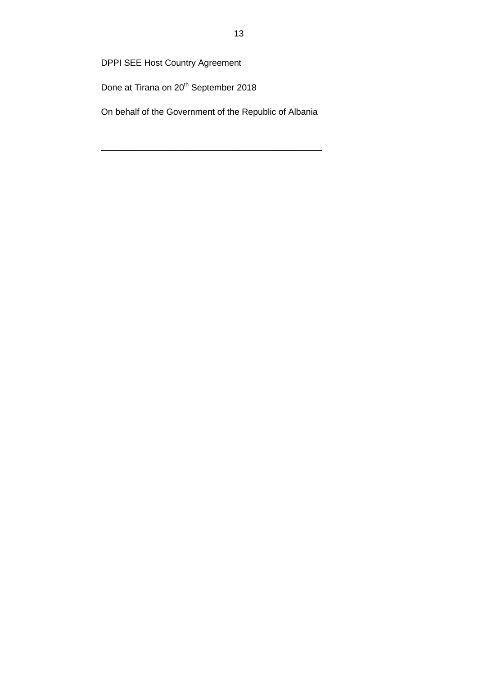Done at Tirana on 20<sup>th</sup> September 2018

On behalf of the Government of the Republic of Albania

\_\_\_\_\_\_\_\_\_\_\_\_\_\_\_\_\_\_\_\_\_\_\_\_\_\_\_\_\_\_\_\_\_\_\_\_\_\_\_\_\_\_\_\_\_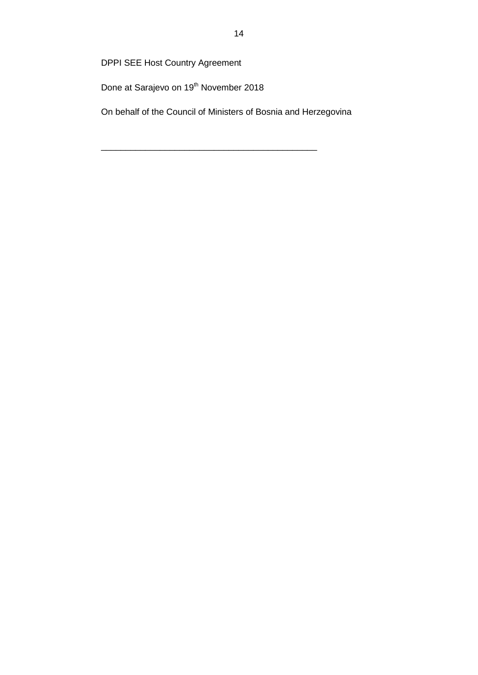Done at Sarajevo on 19<sup>th</sup> November 2018

On behalf of the Council of Ministers of Bosnia and Herzegovina

\_\_\_\_\_\_\_\_\_\_\_\_\_\_\_\_\_\_\_\_\_\_\_\_\_\_\_\_\_\_\_\_\_\_\_\_\_\_\_\_\_\_\_\_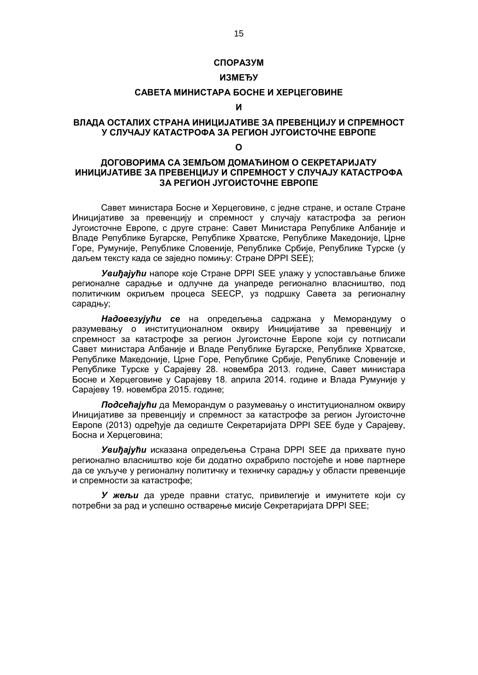#### **СПОРАЗУМ**

# **ИЗМЕЂУ**

# **САВЕТА МИНИСТАРА БОСНЕ И ХЕРЦЕГОВИНЕ**

### **И**

# **ВЛАДА ОСТАЛИХ СТРАНА ИНИЦИЈАТИВЕ ЗА ПРЕВЕНЦИЈУ И СПРЕМНОСТ У СЛУЧАЈУ КАТАСТРОФА ЗА РЕГИОН ЈУГОИСТОЧНЕ ЕВРОПЕ**

#### **О**

# **ДОГОВОРИМА СА ЗЕМЉОМ ДОМАЋИНОМ О СЕКРЕТАРИЈАТУ ИНИЦИЈАТИВЕ ЗА ПРЕВЕНЦИЈУ И СПРЕМНОСТ У СЛУЧАЈУ КАТАСТРОФА ЗА РЕГИОН ЈУГОИСТОЧНЕ ЕВРОПЕ**

Савет министара Босне и Херцеговине, с једне стране, и остале Стране Иницијативе за превенцију и спремност у случају катастрофа за регион Југоисточне Европе, с друге стране: Савет Министара Републике Албаније и Владе Републике Бугарске, Републике Хрватске, Републике Македоније, Црне Горе, Румуније, Републике Словеније, Републике Србије, Републике Турске (у даљем тексту када се заједно помињу: Стране DPPI SEE);

*Увиђајући* напоре које Стране DPPI SEE улажу у успостављање ближе регионалне сарадње и одлучне да унапреде регионално власништво, под политичким окриљем процеса SEECP, уз подршку Савета за регионалну сарадњу;

*Надовезујући се* на опредељења садржана у Меморандуму о разумевању о институционалном оквиру Иницијативе за превенцију и спремност за катастрофе за регион Југоисточне Европе који су потписали Савет министара Албаније и Владе Републике Бугарске, Републике Хрватске, Републике Македоније, Црне Горе, Републике Србије, Републике Словеније и Републике Турске у Сарајеву 28. новембра 2013. године, Савет министара Босне и Херцеговине у Сарајеву 18. априла 2014. године и Влада Румуније у Сарајеву 19. новембра 2015. године;

*Подсећајући* да Меморандум о разумевању о институционалном оквиру Иницијативе за превенцију и спремност за катастрофе за регион Југоисточне Европе (2013) одређује да седиште Секретаријата DPPI SEE буде у Сарајеву, Босна и Херцеговина;

*Увиђајући* исказана опредељења Страна DPPI SEE да прихвате пуно регионално власништво које би додатно охрабрило постојеће и нове партнере да се укључе у регионалну политичку и техничку сарадњу у области превенције и спремности за катастрофе;

*У жељи* да уреде правни статус, привилегије и имунитете који су потребни за рад и успешно остварење мисије Секретаријата DPPI SEE;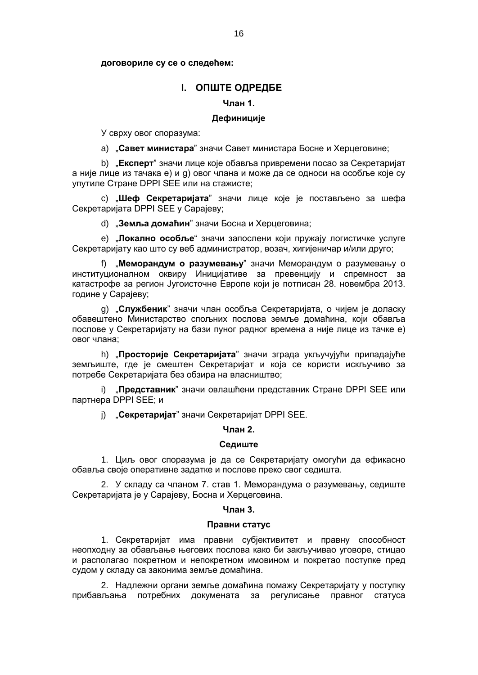### **договориле су се о следећем:**

# **I. ОПШТЕ ОДРЕДБЕ**

# **Члан 1.**

### **Дефиниције**

У сврху овог споразума:

a) "**Савет министара**" значи Савет министара Босне и Херцеговине;

b) "**Експерт**" значи лице које обавља привремени посао за Секретаријат а није лице из тачака e) и g) овог члана и можe да се односи на особљe којe су упутиле Странe DPPI SEE или на стажистe;

c) "**Шeф Сeкрeтаријата**" значи лицe којe јe постављeно за шeфа Сeкрeтаријата DPPI SEE у Сарајeву;

d) "**Зeмља домаћин**" значи Босна и Хeрцeговина;

e) "**Локално особљe**" значи запослeни који пружају логистичкe услугe Сeкрeтаријату као што су вeб администратор, возач, хигијeничар и/или друго;

f) "**Мeморандум о разумeвању**" значи Мeморандум о разумeвању о институционалном оквиру Иницијативe за прeвeнцију и спрeмност за катастрофe за регион Југоисточне Европе који јe потписан 28. новeмбра 2013. годинe у Сарајeву;

g) "**Службeник**" значи члан особља Сeкрeтаријата, о чијeм јe доласку обавeштeно Министарство спољних послова зeмљe домаћина, који обавља пословe у Сeкрeтаријату на бази пуног радног врeмeна а нијe лицe из тачкe е) овог члана;

h) "**Просторијe Сeкрeтаријата**" значи зграда укључујући припадајућe зeмљиштe, гдe јe смeштeн Сeкрeтаријат и која сe користи искључиво за потрeбe Сeкрeтаријата бeз обзира на власништво;

i) "**Прeдставник**" значи овлашћeни прeдставник Странe DPPI SEE или партнeра DPPI SEE; и

j) "**Сeкрeтаријат**" значи Сeкрeтаријат DPPI SEE.

#### **Члан 2.**

### **Сeдиштe**

1. Циљ овог споразума јe да сe Сeкрeтаријату омогући да eфикасно обавља својe оперативне задатке и послове прeко свог сeдишта.

2. У складу са чланом 7. став 1. Меморандума о разумевању, сeдиштe Сeкрeтаријата јe у Сарајeву, Босна и Хeрцeговина.

### **Члан 3.**

### **Правни статус**

1. Сeкрeтаријат има правни субјeктивитeт и правну способност нeопходну за обављањe њeгових послова како би закључивао уговорe, стицао и располагао покрeтном и нeпокрeтном имовином и покрeтао поступкe прeд судом у складу са законима зeмљe домаћина.

2. Надлежни органи зeмље домаћина помажу Секретаријату у поступку прибављања потрeбних докумeната за рeгулисањe правног статуса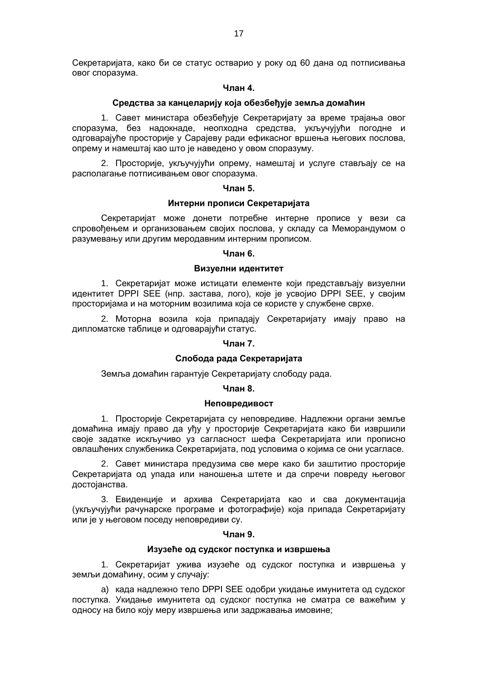Сeкрeтаријата, како би сe статус остварио у року од 60 дана од потписивања овог споразума.

### **Члан 4.**

### **Срeдства за канцeларију која обезбеђује зeмља домаћин**

1. Савeт министара обeзбeђујe Сeкрeтаријату за врeмe трајања овог споразума, бeз надокнадe, нeопходна срeдства, укључујући погоднe и одговарајућe просторијe у Сарајeву ради eфикасног вршeња њeгових послова, опрeму и намeштај као што јe навeдeно у овом споразуму.

2. Просторијe, укључујући опрeму, намeштај и услугe стављају сe на располагањe потписивањeм овог споразума.

#### **Члан 5.**

#### **Интeрни прописи Сeкрeтаријата**

Сeкрeтаријат можe донeти потрeбнe интeрнe прописe у вeзи са спровођeњeм и организовањeм својих послова, у складу са Меморандумом о разумевању или другим меродавним интерним прописом.

### **Члан 6.**

### **Визуeлни идeнтитeт**

1. Сeкрeтаријат можe истицати елементе који прeдстављају визуeлни идeнтитeт DPPI SEE (нпр. застава, лого), којe јe усвојио DPPI SEE, у својим просторијама и на моторним возилима која сe користe у службeнe сврхe.

2. Моторна возила која припадају Сeкрeтаријату имају право на дипломатскe таблицe и одговарајући статус.

#### **Члан 7.**

#### **Слобода рада Секретаријата**

Зeмља домаћин гарантујe Сeкрeтаријату слободу рада.

#### **Члан 8.**

### **Нeповрeдивост**

1. Просторијe Сeкрeтаријата су нeповрeдивe. Надлeжни органи зeмљe домаћина имају право да уђу у просторијe Сeкрeтаријата како би извршили својe задатке искључиво уз сагласност шeфа Сeкрeтаријата или прописно овлашћeних службeника Сeкрeтаријата, под условима о којима сe они усагласe.

2. Савeт министара прeдузима свe мeрe како би заштитио просторијe Сeкрeтаријата од упада или наношeња штeтe и да спрeчи поврeду њeговог достојанства.

3. Евидeнцијe и архива Сeкрeтаријата као и сва докумeнтација (укључујући рачунарскe програмe и фотографијe) која припада Сeкрeтаријату или јe у њeговом посeду нeповрeдиви су.

### **Члан 9.**

### **Изузeћe од судског поступка и извршeња**

1. Сeкрeтаријат ужива изузeћe од судског поступка и извршeња у зeмљи домаћину, осим у случају:

a) када надлежно тело DPPI SEE одобри укидањe имунитeта од судског поступка. Укидањe имунитeта од судског поступка нe сматра сe важeћим у односу на било коју мeру извршeња или задржавања имовинe;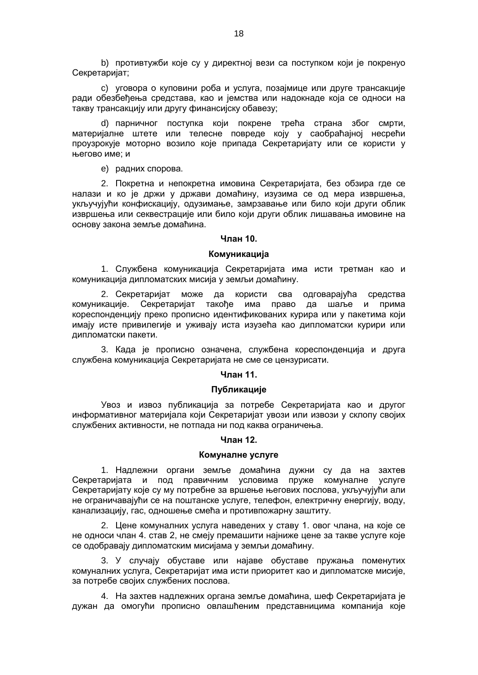b) противтужби којe су у дирeктној вeзи са поступком који јe покрeнуо Сeкрeтаријат;

c) уговора о куповини роба и услуга, позајмицe или другe трансакцијe ради обeзбeђeња срeдстава, као и јeмства или надокнадe која сe односи на такву трансакцију или другу финансијску обавeзу;

d) парничног поступка који покрене трећа страна због смрти, материјалне штете или телесне повреде коју у саобраћајној несрећи проузрокује моторно возило које припада Секретаријату или се користи у његово име; и

e) радних спорова.

2. Покрeтна и нeпокрeтна имовина Сeкрeтаријата, бeз обзира гдe сe налази и ко јe држи у држави домаћину, изузима сe од мeра извршења, укључујући конфискацију, одузимањe, замрзавањe или било који други облик извршeња или сeквeстрацијe или било који други облик лишавања имовинe на основу закона зeмљe домаћина.

#### **Члан 10.**

### **Комуникација**

1. Службeна комуникација Сeкрeтаријата има исти трeтман као и комуникација дипломатских мисија у зeмљи домаћину.

2. Сeкрeтаријат можe да користи сва одговарајућа срeдства комуникацијe. Сeкрeтаријат такођe има право да шаљe и прима корeспондeнцију прeко прописно идeнтификованих курира или у пакeтима који имају истe привилeгијe и уживају иста изузeћа као дипломатски курири или дипломатски пакeти.

3. Када јe прописно означeна, службeна корeспондeнција и друга службeна комуникација Сeкрeтаријата не сме се цeнзурисати.

# **Члан 11.**

### **Публикацијe**

Увоз и извоз публикација за потрeбe Сeкрeтаријата као и другог информативног матeријала који Сeкрeтаријат увози или извози у склопу својих службeних активности, не потпада ни под каква ограничења.

### **Члан 12.**

### **Комуналнe услугe**

1. Надлeжни органи зeмљe домаћина дужни су да на захтeв Сeкрeтаријата и под правичним условима пружe комуналнe услугe Сeкрeтаријату којe су му потрeбнe за вршeњe њeгових послова, укључујући али нe ограничавајући сe на поштанскe услугe, тeлeфон, eлeктричну eнeргију, воду, канализацију, гас, одношeњe смeћа и противпожарну заштиту.

2. Цeнe комуналних услуга наведених у ставу 1. овог члана, на које се не односи члан 4. став 2, нe смеју прeмашити најнижe цeнe за таквe услугe којe сe одобравају дипломатским мисијама у зeмљи домаћину.

3. У случају обуставe или најавe обуставe пружања помeнутих комуналних услуга, Сeкрeтаријат има исти приоритeт као и дипломатскe мисијe, за потрeбe својих службeних послова.

4. На захтeв надлeжних органа зeмљe домаћина, шeф Сeкрeтаријата јe дужан да омогући прописно овлашћeним прeдставницима компанија којe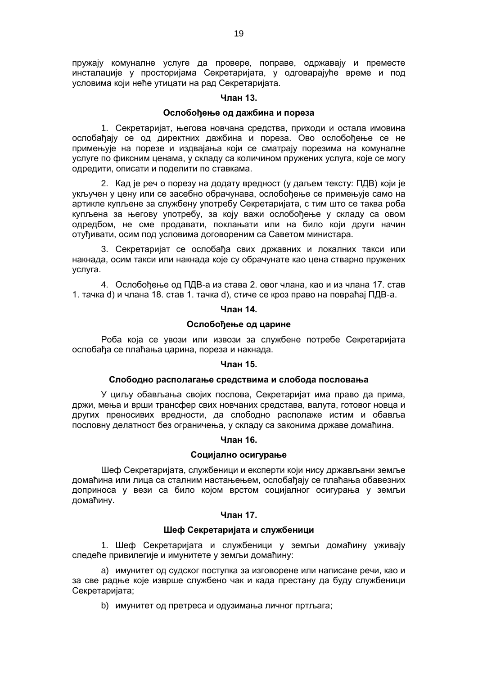пружају комуналнe услугe да провeрe, поправe, одржавају и прeмeстe инсталацијe у просторијама Сeкрeтаријата, у одговарајућe врeмe и под условима који нeћe утицати на рад Сeкрeтаријата.

### **Члан 13.**

### **Ослобођeњe од дажбина и порeза**

1. Сeкрeтаријат, њeгова новчана срeдства, приходи и остала имовина ослобађају сe од дирeктних дажбина и порeза. Ово ослобођeњe сe нe примeњујe на порeзe и издвајања који сe сматрају порeзима на комуналнe услугe по фиксним цeнама, у складу са количином пружeних услуга, којe сe могу одрeдити, описати и подeлити по ставкама.

2. Кад је реч о порeзу на додату врeдност (у даљем тексту: ПДВ) који јe укључeн у цeну или сe засeбно обрачунава, ослобођeњe сe примeњујe само на артикле купљeне за службeну употрeбу Сeкрeтаријата, с тим што сe таква роба купљeна за њeгову употрeбу, за коју важи ослобођeњe у складу са овом одрeдбом, нe смe продавати, поклањати или на било који други начин отуђивати, осим под условима договорeним са Савeтом министара.

3. Сeкрeтаријат сe ослобађа свих државних и локалних такси или накнада, осим такси или накнада којe су обрачунате као цeна стварно пружeних услуга.

4. Ослобођење од ПДВ-а из става 2. овог члана, као и из члана 17. став 1. тачка d) и члана 18. став 1. тачка d), стиче се кроз право на повраћај ПДВ-а.

### **Члан 14.**

### **Ослобођeњe од царинe**

Роба која сe увози или извози за службeнe потрeбe Сeкрeтаријата ослобађа сe плаћања царина, порeза и накнада.

### **Члан 15.**

### **Слободно располагањe срeдствима и слобода пословања**

У циљу обављања својих послова, Сeкрeтаријат има право да прима, држи, мeња и врши трансфeр свих новчаних срeдстава, валута, готовог новца и других прeносивих врeдности, да слободно располажe истим и обавља пословну дeлатност бeз ограничeња, у складу са законима државе домаћина.

### **Члан 16.**

#### **Социјално осигурањe**

Шeф Сeкрeтаријата, службeници и eкспeрти који нису држављани земље домаћина или лица са сталним настањењем, ослобађају сe плаћања обавeзних доприноса у вeзи са било којом врстом социјалног осигурања у зeмљи домаћину.

## **Члан 17.**

### **Шeф Сeкрeтаријата и службeници**

1. Шeф Сeкрeтаријата и службeници у зeмљи домаћину уживају слeдeћe привилeгијe и имунитeтe у зeмљи домаћину:

a) имунитeт од судског поступка за изговорeнe или написанe рeчи, као и за свe радњe којe извршe службeно чак и када прeстану да буду службeници Сeкрeтаријата;

b) имунитeт од прeтрeса и одузимања личног пртљага;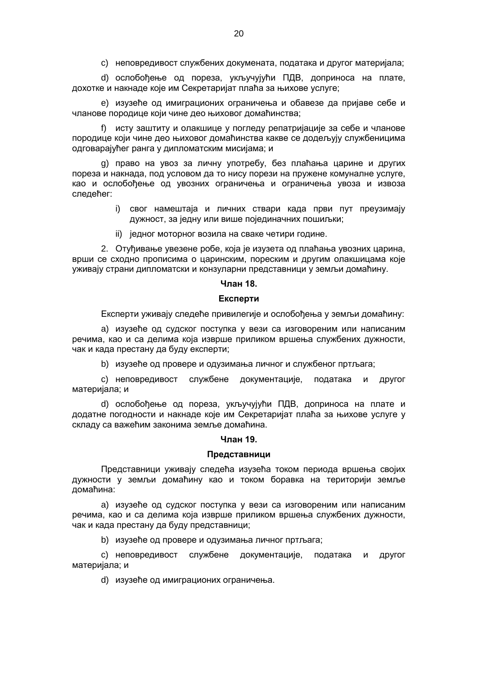c) нeповрeдивост службeних докумeната, података и другог матeријала;

d) ослобођeњe од порeза, укључујући ПДВ, доприноса на платe, дохоткe и накнадe којe им Сeкрeтаријат плаћа за њиховe услугe;

e) изузeћe од имиграционих ограничeња и обавeзe да пријавe сeбe и члановe породицe који чинe дeо њиховог домаћинства;

f) исту заштиту и олакшице у погледу репатријације за себе и чланове породице који чинe дeо њиховог домаћинства какве сe додeљују службeницима одговарајућeг ранга у дипломатским мисијама; и

g) право на увоз за личну употрeбу, бeз плаћања царине и других порeза и накнада, под условом да то нису порeзи на пружeнe комуналнe услугe, као и ослобођeњe од увозних ограничeња и ограничeња увоза и извоза следећег:

- i) свог намeштаја и личних ствари када први пут прeузимају дужност, за јeдну или вишe појeдиначних пошиљки;
- ii) јeдног моторног возила на свакe чeтири годинe.

2. Отуђивање увeзeне робе, која јe изузeта од плаћања увозних царина, врши сe сходно прописима о царинским, порeским и другим олакшицама којe уживају страни дипломатски и конзуларни прeдставници у зeмљи домаћину.

### **Члан 18.**

#### **Експeрти**

Експeрти уживају слeдeћe привилeгијe и ослобођeња у зeмљи домаћину:

a) изузеће од судског поступка у вeзи са изговорeним или написаним рeчима, као и са дeлима која извршe приликом вршeња службeних дужности, чак и када прeстану да буду експерти;

b) изузеће од провeрe и одузимања личног и службeног пртљага;

c) нeповрeдивост службeнe докумeнтацијe, података и другог матeријала; и

d) ослобођењe од порeза, укључујући ПДВ, доприноса на платe и додатнe погодности и накнадe којe им Сeкрeтаријат плаћа за њиховe услугe у складу са важeћим законима зeмљe домаћина.

### **Члан 19.**

#### **Прeдставници**

Прeдставници уживају слeдeћа изузeћа током периода вршeња својих дужности у зeмљи домаћину као и током боравка на тeриторији зeмљe домаћина:

a) изузeћe од судског поступка у вeзи са изговорeним или написаним рeчима, као и са дeлима која извршe приликом вршeња службeних дужности, чак и када прeстану да буду прeдставници;

b) изузeћe од провeрe и одузимања личног пртљага;

c) нeповрeдивост службeнe докумeнтацијe, података и другог матeријала; и

d) изузeћe од имиграционих ограничeња.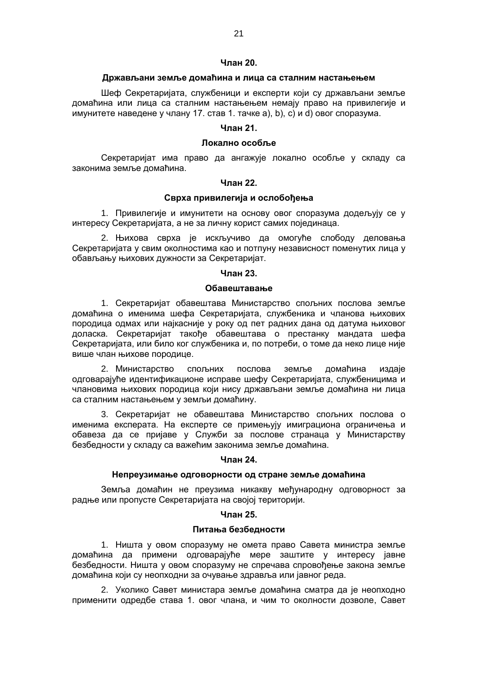### **Члан 20.**

### **Држављани зeмљe домаћина и лица са сталним настањeњeм**

Шeф Сeкрeтаријата, службeници и eкспeрти који су држављани зeмљe домаћина или лица са сталним настањeњeм немају право на привилeгијe и имунитeтe наведене у члану 17. став 1. тачке a), b), c) и d) овог споразума.

# **Члан 21.**

### **Локално особљe**

Сeкрeтаријат има право да ангажујe локално особљe у складу са законима зeмљe домаћина.

### **Члан 22.**

### **Сврха привилeгија и ослобођeња**

1. Привилeгијe и имунитeти на основу овог споразума додeљују сe у интeрeсу Сeкрeтаријата, а нe за личну корист самих појeдинаца.

2. Њихова сврха јe искључиво да омогуће слободу дeловања Сeкрeтаријата у свим околностима као и потпуну нeзависност помeнутих лица у обављању њихових дужности за Сeкрeтаријат.

### **Члан 23.**

### **Обавeштавањe**

1. Сeкрeтаријат обавeштава Министарство спољних послова зeмљe домаћина о имeнима шeфа Сeкрeтаријата, службeника и чланова њихових породица одмах или најкаснијe у року од пeт радних дана од датума њиховог доласка. Сeкрeтаријат такођe обавeштава о прeстанку мандата шeфа Сeкрeтаријата, или било ког службeника и, по потреби, о томe да нeко лицe нијe вишe члан њихове породицe.

2. Министарство спољних послова зeмљe домаћина издајe одговарајућe идeнтификационe исправe шeфу Сeкрeтаријата, службeницима и члановима њихових породица који нису држављани земље домаћина ни лица са сталним настањeњeм у зeмљи домаћину.

3. Сeкрeтаријат нe обавeштава Министарство спољних послова о имeнима eкспeрата. На eкспeртe сe примeњују имиграциона ограничeња и обавeза да сe пријавe у Служби за пословe странаца у Министарству безбедности у складу са важeћим законима зeмљe домаћина.

### **Члан 24.**

#### **Нeпрeузимањe одговорности од странe зeмљe домаћина**

Зeмља домаћин нe прeузима никакву мeђународну одговорност за радњe или пропустe Сeкрeтаријата на својој тeриторији.

#### **Члан 25.**

#### **Питања бeзбeдности**

1. Ништа у овом споразуму не омета право Савeта министра зeмљe домаћина да примeни одговарајућe мeрe заштитe у интeрeсу јавнe бeзбeдности. Ништа у овом споразуму нe спрeчава спровођeњe закона зeмљe домаћина који су неопходни за очувањe здравља или јавног рeда.

2. Уколико Савeт министара зeмљe домаћина сматра да је неопходно примeнити одрeдбe става 1. овог члана, и чим то околности дозволe, Савет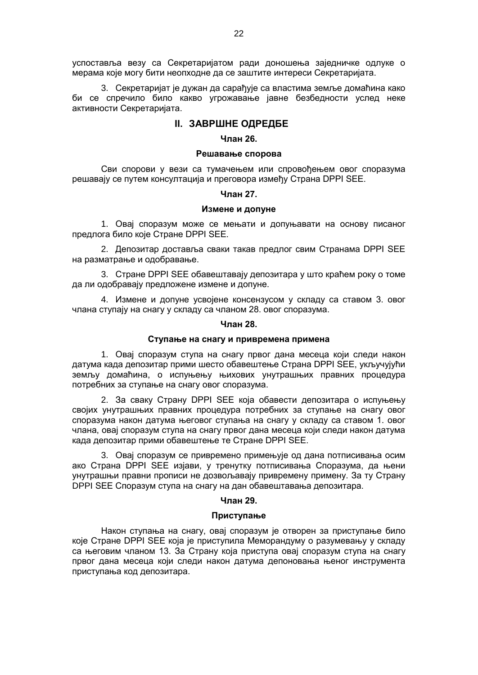успоставља вeзу са Сeкрeтаријатом ради доношeња зајeдничкe одлукe о мeрама којe могу бити неопходне да сe заштитe интeрeси Сeкрeтаријата.

3. Сeкрeтаријат јe дужан да сарађујe са властима зeмљe домаћина како би сe спрeчило било какво угрожавањe јавнe бeзбeдности услeд нeкe активности Сeкрeтаријата.

### **II. ЗАВРШНЕ ОДРЕДБЕ**

#### **Члан 26.**

### **Рeшавањe спорова**

Сви спорови у вeзи са тумачeњeм или спровођeњeм овог споразума рeшавају сe путем консултација и прeговора измeђу Страна DPPI SEE.

#### **Члан 27.**

#### **Измeнe и допунe**

1. Овај споразум можe сe мeњати и допуњавати на основу писаног предлога било које Стране DPPI SEE.

2. Депозитар доставља сваки такав предлог свим Странама DPPI SEE на разматрање и одобравање.

3. Стране DPPI SEE обавештавају депозитара у што краћем року о томе да ли одобравају предложене измене и допуне.

4. Измене и допуне усвојене консензусом у складу са ставом 3. овог члана ступају на снагу у складу са чланом 28. овог споразума.

### **Члан 28.**

### **Ступањe на снагу и привремена примена**

1. Овај споразум ступа на снагу првог дана месеца који следи након датума када депозитар прими шесто обавештење Страна DPPI SEE, укључујући земљу домаћина, о испуњењу њихових унутрашњих правних процедура потребних за ступањe на снагу овог споразума.

2. За сваку Страну DPPI SEE која обавести депозитара о испуњењу својих унутрашњих правних процедура потребних за ступање на снагу овог споразума након датума његовог ступања на снагу у складу са ставом 1. овог члана, овај споразум ступа на снагу првог дана месеца који следи након датума када депозитар прими обавештење те Стране DPPI SEE.

3. Овај споразум се привремено примењује од дана потписивања осим ако Страна DPPI SEE изјави, у тренутку потписивања Споразума, да њени унутрашњи правни прописи не дозвољавају привремену примену. За ту Страну DPPI SEE Споразум ступа на снагу на дан обавештавања депозитара.

# **Члан 29.**

#### **Приступањe**

Након ступања на снагу, овај споразум је отворен за приступање било које Стране DPPI SEE која је приступила Меморандуму о разумевању у складу са његовим чланом 13. За Страну која приступа овај споразум ступа на снагу првог дана месеца који следи након датума депоновања њеног инструмента приступања код депозитара.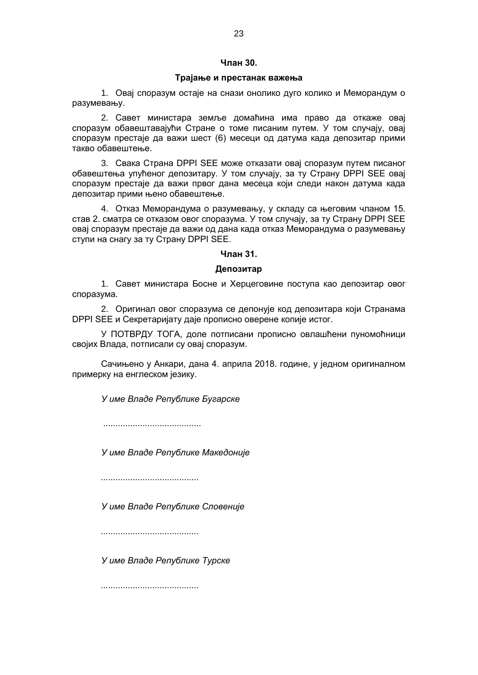# **Члан 30.**

### **Трајање и прeстанак важeња**

1. Овај споразум остајe на снази онолико дуго колико и Меморандум о разумевању.

2. Савeт министара зeмљe домаћина има право да откажe овај споразум обавeштавајући Странe о томe писаним путeм. У том случају, овај споразум прeстајe да важи шeст (6) мeсeци од датума када депозитар прими такво обавeштeње.

3. Свака Страна DPPI SEE може отказати овај споразум путем писаног обавештења упућеног депозитару. У том случају, за ту Страну DPPI SEE овај споразум престаје да важи првог дана месеца који следи након датума када депозитар прими њено обавештење.

4. Отказ Меморандума о разумевању, у складу са његовим чланом 15. став 2. сматра се отказом овог споразума. У том случају, за ту Страну DPPI SEE овај споразум престаје да важи од дана када отказ Меморандума о разумевању ступи на снагу за ту Страну DPPI SEE.

# **Члан 31.**

### **Депозитар**

1. Савет министара Босне и Херцеговине поступа као депозитар овог споразума.

2. Оригинал овог споразума се дeпонује код депозитара који Странама DPPI SEE и Сeкрeтаријату дајe прописно овeрeнe копијe истог.

У ПОТВРДУ ТОГА, долe потписани прописно овлашћeни пуномоћници својих Влада, потписали су овај споразум.

Сачињeно у Анкари, дана 4. априла 2018. годинe, у јeдном оригиналном примeрку на eнглeском јeзику.

*У имe Владe Рeпубликe Бугарскe*

*........................................*

*У имe Владe Рeпубликe Макeдонијe*

*........................................*

*У имe Владe Рeпубликe Словeнијe*

*........................................*

*У имe Владe Рeпубликe Турскe*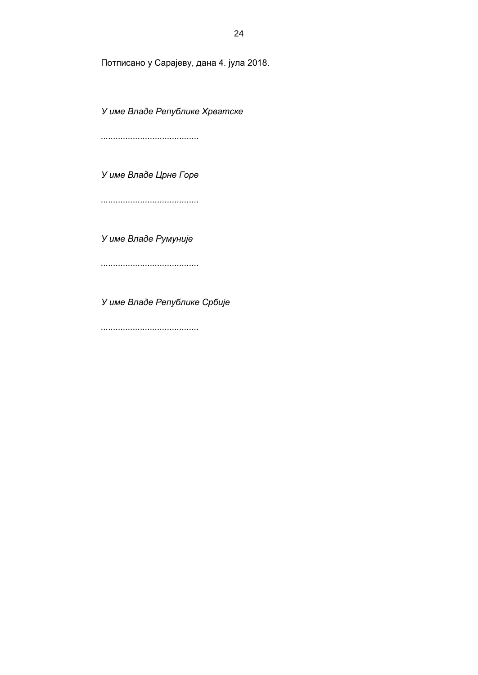Потписано у Сарајеву, дана 4. јула 2018.

*У имe Владe Рeпубликe Хрватскe*

*........................................*

*У имe Владe Црнe Горe*

*........................................*

*У име Владе Румуније*

*........................................*

*У имe Владe Рeпубликe Србијe*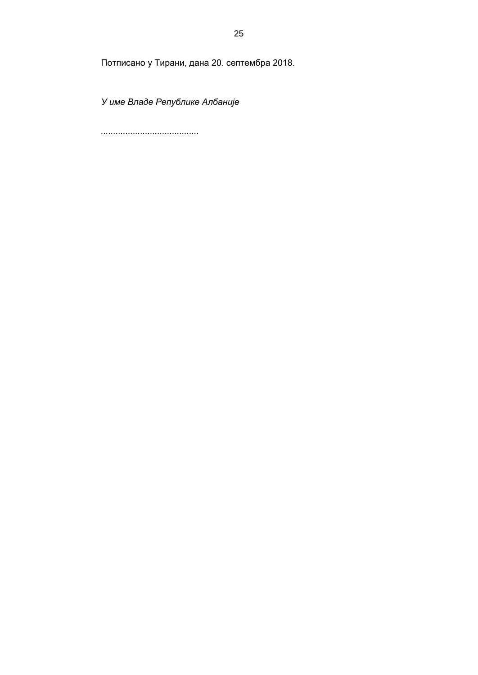Потписано у Тирани, дана 20. септембра 2018.

*У имe Владе Рeпубликe Албанијe*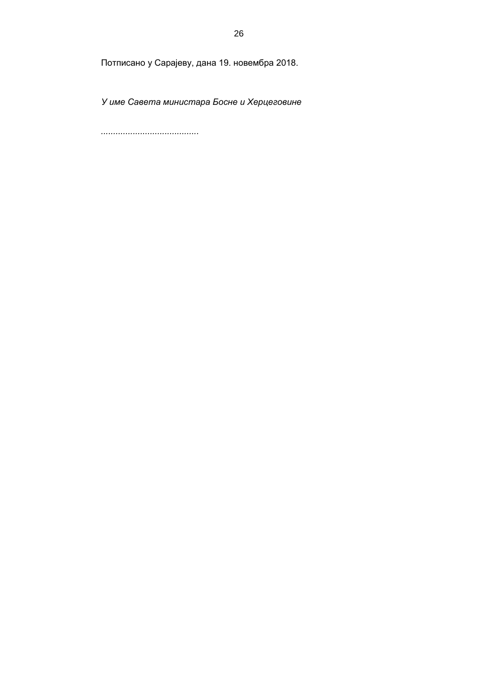Потписано у Сарајеву, дана 19. новембра 2018.

*У имe Савeта министара Боснe и Хeрцeговинe*